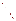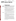United States **Prevention, Pesticides** EPA-738-F-93-011<br>
Environmental Protection And Toxic Substances September 1993 Environmental Protection Agency (7508W)

# *<del>R.E.D. FACTS*</del>

# **Glyphosate**

# **Pesticide Reregistration**

All pesticides sold or distributed in the United States must be registered by EPA, based on scientific studies showing that they can be used without posing unreasonable risks to people or the environment. Because of advances in scientific knowledge, the law requires that pesticides which were first registered years ago be reregistered to ensure that they meet today's more stringent standards.

In evaluating pesticides for reregistration, EPA obtains and reviews a complete set of studies from pesticide producers, describing the human health and environmental effects of each pesticide. The Agency imposes any regulatory controls that are needed to effectively manage each pesticide's risks. EPA then reregisters pesticides that can be used without posing unreasonable risks to human health or the environment.

When a pesticide is eligible for reregistration, EPA announces this and explains why in a Reregistration Eligibility Decision (RED) document. This fact sheet summarizes the information in the RED document for glyphosate.

**Use Profile** Glyphosate is a non-selective herbicide registered for use on many food and non-food field crops as well as non-crop areas where total vegetation control is desired. When applied at lower rates, glyphosate also is a plant growth regulator.

> Glyphosate is among the most widely used pesticides by volume. It ranked eleventh among conventional pesticides used in the U.S. during 1990- 91. In recent years, approximately 13 to 20 million acres were treated with 18.7 million pounds of glyphosate annually. The largest use sites include hay/pasture, soybeans and field corn.

Three salts of glyphosate are used as active ingredients in registered pesticide products. Two of these active ingredients, plus technical grade glyphosate, are contained in the 56 products that are subject to this RED.

The isopropylamine salt, an active ingredient in 53 registered products, is used as a herbicide to control broadleaf weeds and grasses in many food and non-food crops and a variety of other sites including ornamentals, lawns and turf, residential areas, greenhouses, forest plantings and industrial rightsof-way. It is formulated as a liquid, solid or pellet/tablet, and is applied using ground or aerial equipment.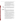The sodium salt of glyphosate, an active ingredient in two registered pesticide products, is used as a plant growth regulator for peanuts and sugarcane, to modify plant growth and hasten the ripening of fruit. It is applied as a ground spray to peanut fields and as an aerial spray to sugarcane. Preharvest intervals are established for both crops.

The monoammonium salt of glyphosate is an active ingredient in an additional seven herbicide/growth regulator products. This form of glyphosate was initially registered after November 1984, so it is not subject to reregistration or included in this RED. However, in reassessing the existing glyphosate tolerances (maximum residue limits in or on food and feed), EPA included those for the monoammonium salt.

# **Regulatory History**

EPA issued a Registration Standard for glyphosate in June 1986 (NTIS PB87-103214). The Registration Standard required additional phytotoxicity, environmental fate, toxicology, product chemistry and residue chemistry studies. All of the data required have been submitted and reviewed, or were waived.

#### **Human Health Toxicity**

**Assessment**

Glyphosate is of relatively low oral and dermal acute toxicity. It has been placed in Toxicity Category III for these effects (Toxicity Category I indicates the highest degree of acute toxicity, and Category IV the lowest). The acute inhalation toxicity study was waived because glyphosate is nonvolatile and because adequate inhalation studies with end-use products exist showing low toxicity.

A subchronic feeding study using rats showed blood and pancreatic effects. A similar study with mice showed reduced body weight gains in both sexes at the highest dose levels. A dermal study with rabbits showed slight reddening and swelling of the skin, decreased food consumption in males and decreased enzyme production, at the highest dose levels.

Several chronic toxicity/carcinogenicity studies using rats, mice and beagle dogs resulted in no effects based on the parameters examined, or resulted in findings that glyphosate was not carcinogenic in the study. In June 1991, EPA classified glyphosate as a Group E oncogen--one that shows evidence of non-carcinogenicity for humans--based on the lack of convincing evidence of carcinogenicity in adequate studies.

In developmental toxicity studies using pregnant rats and rabbits, glyphosate caused treatment-related effects in the high dose groups including diarrhea, decreased body weight gain, nasal discharge and death.

One reproductive toxicity study using rats showed kidney effects in the high dose male pups; another study showed digestive effects and decreased body weight gain. Glyphosate does not cause mutations.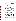In one metabolism study with rats, most of the glyphosate administered (97.5 percent) was excreted in urine and feces as the parent compound; less than one percent of the absorbed dose remained in tissues and organs, primarily in bone tissue. Aminomethyl phosphonic acid (AMPA) was the only metabolite excreted. A second study using rats showed that very little glyphosate reaches bone marrow, that it is rapidly eliminated from bone marrow, and that it is even more rapidly eliminated from plasma.

#### **Dietary Exposure**

The nature of glyphosate residue in plants and animals is adequately understood. Studies with a variety of plants indicate that uptake of glyphosate or AMPA from soil is limited. The material which is taken up is readily translocated throughout the plant and into its fruit. In animals, most glyphosate is eliminated in urine and feces. Enforcement methods are available to detect residues of glyphosate and AMPA in or on plant commodities, in water and in animal commodities.

85 tolerances have been established for residues of glyphosate and its metabolite, AMPA, in or on a wide variety of crops and crop groups, as well as in many processed foods, animal feed and animal tissues (please see 40 CFR 180.364, 40 CFR 185.3500 and 40 CFR 186.3500). EPA has reassessed the existing and proposed tolerances for glyphosate. Though some adjustments will be needed, no major changes in existing tolerances are required. EPA also has compared the U.S. tolerances with international Codex maximum residue limits (MRLs), and is recommending certain adjustments to achieve greater compatibility.

EPA conducted a dietary risk assessment for glyphosate based on a worst-case risk scenario, that is, assuming that 100 percent of all possible commodities/acreage were treated, and assuming that tolerance-level residues remained in/on all treated commodities. The Agency concluded that the chronic dietary risk posed by glyphosate food uses is minimal.

A reference dose (RfD), or estimate of daily exposure that would not cause adverse effects throughout a lifetime, of 2 mg/kg/day has been proposed for glyphosate, based on the developmental toxicity studies described above.

#### **Occupational and Residential Exposure**

Occupational and residential exposure to glyphosate can be expected based on its currently registered uses. However, due to glyphosate's low acute toxicity and the absence of other toxicological concerns (especially carcinogenicity), occupational and residential exposure data are not required for reregistration.

Some glyphosate end-use products are in Toxicity Categories I or II for primary eye irritation or skin irritation. In California, glyphosate ranks high among pesticides causing illness or injury to workers, who report numerous incidents of eye and skin irritation from splashes during mixing and loading.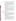EPA is not adding any personal protective equipment (PPE) requirements at this time, but any existing PPE label requirements must be retained.

The Worker Protection Standard (WPS) for Agricultural Pesticides (please see 40 CFR 156 and 170) established an interim restricted entry interval (REI) of 12 hours for glyphosate. The Agency has decided to retain this REI as a prudent measure to mitigate risks to workers. During the REI, workers may reenter areas treated with glyphosate only in the few, narrow exceptions allowed in the WPS. The REI applies only to glyphosate uses within the scope of the WPS, so homeowner and commercial uses are not included.

#### **Human Risk Assessment**

EPA's worst case risk assessment of glyphosate's many registered food uses concludes that human dietary exposure and risk are minimal. Existing and proposed tolerances have been reassessed, and no significant changes are needed to protect the public.

Exposure to workers and other applicators generally is not expected to pose undue risks, due to glyphosate's low acute toxicity. However, splashes during mixing and loading of some products can cause injury, primarily eye and skin irritation. EPA is continuing to recommend PPE, including protective eye wear, for workers using end-use products that are in Toxicity Categories I or II for eye and skin irritation. To mitigate potential risks associated with reentering treated agricultural areas, EPA is retaining the 12 hour REI set by the WPS.

# **Environmental**

#### **Assessment**

Glyphosate adsorbs strongly to soil and is not expected to move vertically below the six inch soil layer; residues are expected to be immobile in soil. Glyphosate is readily degraded by soil microbes to AMPA, which is degraded to carbon dioxide. Glyphosate and AMPA are not likely to move to ground water due to their strong adsorptive characteristics. However, glyphosate does have the potential to contaminate surface waters due to its aquatic use patterns and through erosion, as it adsorbs to soil particles suspended in runoff. If glyphosate reached surface water, it would not be broken down readily by water or sunlight.

#### **Ecological Effects**

**Environmental Fate** 

Glyphosate is no more than slightly toxic to birds and is practically nontoxic to fish, aquatic invertebrates and honeybees. Due to the presence of a toxic inert ingredient, some glyphosate end-use products must be labeled, "Toxic to fish," if they may be applied directly to aquatic environments. Product labeling does not preclude off-target movement of glyphosate by drift. EPA therefore is requiring three additional terrestrial plant studies to assess potential risks to nontarget plants.

EPA does not expect that most endangered terrestrial or aquatic organisms will be affected by the registered uses of glyphosate. However,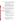**Additional Data Required** Droplet Size Spectrum, and Drift Field Evaluation) which are not part of the target data base and do not affect the reregistration eligibility of glyphosate. The Agency also is requiring product-specific data including product chemistry and acute toxicity studies, as well as revised Confidential Statements of Formula and revised labeling. **Product Labeling**

**Changes Required**

many endangered plants as well as the Houston toad (due to its habitat) may be at risk. EPA is deferring any use modifications or labeling amendments until it has published the Endangered Species Protection Plan and has given registrants guidance regarding endangered species precautionary labeling.

# **Ecological Effects Risk Assessment**

Based on current data, EPA has determined that the effects of glyphosate on birds, mammals, fish and invertebrates are minimal. Under certain use conditions, glyphosate may cause adverse effects to nontarget aquatic plants. Additional data are needed to fully evaluate the effects of glyphosate on nontarget terrestrial plants. Risk reduction measures will be developed if needed, once the data from these studies are submitted and evaluated.

EPA is requiring three generic studies (Tier II Vegetative Vigor,

# pesticide product labeling requirements. In addition:

### **Protection of Aquatic Organisms**

Non-Aquatic Uses - End-use products that are not registered for aquatic uses must bear the following label statement:

All end-use glyphosate products must comply with EPA's current

*Do not apply directly to water, to areas where surface water is present or to intertidal areas below the mean high water mark. Do not contaminate water when disposing of equipment washwaters and rinsate.*

Aquatic Uses - End-use products registered for aquatic uses must bear the following label statement:

*Do not contaminate water when disposing of equipment washwaters and rinsate. Treatment of aquatic weeds can result in oxygen loss from decomposition for dead plants. This loss can cause fish kills.*

## **Worker Protection Standard (WPS) Requirements**

Any product whose labeling permits use in the production of an agricultural plant on any farm, forest, nursery or greenhouse must comply with the labeling requirements of:

• PR Notice 93-7, "Labeling Revisions Required by the Worker Protection Standard (WPS)," and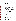• PR Notice 93-11, "Supplemental Guidance for PR Notice 93-7."

Unless specifically directed in the RED, all statements required by these two PR Notices must appear on product labeling exactly as instructed in the Notices. Labels must be revised by April 21, 1994, for products distributed or sold by the primary registrant or supplementally registered distributors, and by October 23, 1995, for products distributed or sold by anyone.

#### **Personal Protective Equipment (PPE)**

No new PPE requirements must be added to glyphosate labels. However, any existing PPE requirements on labels must be retained.

#### **Entry Restrictions**

Products Not Primarily Intended for Home Use:

 Uses Within the Scope of the WPS - A 12-hour restricted entry interval (REI) is required for all products with uses within the scope of the WPS, except products intended primarily for home use. The PPE for early entry should be that required for applicators of glyphosate, except any applicator requirement for an apron or respirator is waived. This REI and PPE should be inserted into the standardized statements required by PR Notice 93-7.

• Sole Active Ingredient End-Use Products - Labels must be revised to adopt the entry restrictions set forth in this section. Any conflicting entry restrictions on current labeling must be removed.

• Multiple Active Ingredient Products - Registrants must compare the entry restrictions set forth in this section to those on their current labeling and retain the more protective. A specific time period in hours or days is considered more protective than "until sprays have dried" or "dusts have settled."

 Uses Not Within the Scope of the WPS - No new entry restrictions must be added. However, any entry restrictions on current product labeling with these uses must be retained.

Products Primarily Intended for Home Use:

 No new entry restrictions must be added. However, any entry restrictions on current product labeling must be retained.

# **Regulatory Conclusion**

The use of currently registered pesticide products containing the isopropylamine and sodium salts of glyphosate in accordance with the labeling specified in this RED will not pose unreasonable risks or adverse effects to humans or the environment. Therefore, all uses of these products are eligible for reregistration.

These glyphosate products will be reregistered once the required product-specific data, revised Confidential Statements of Formula and revised labeling are received and accepted by EPA.